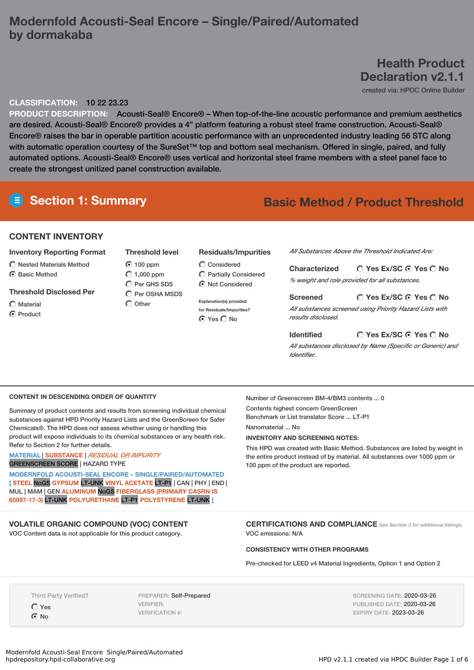# **Modernfold Acousti-Seal Encore – Single/Paired/Automated by dormakaba**

# **Health Product Declaration v2.1.1**

created via: HPDC Online Builder

## **CLASSIFICATION:** 10 22 23.23

**PRODUCT DESCRIPTION:** Acousti-Seal® Encore® – When top-of-the-line acoustic performance and premium aesthetics are desired. Acousti-Seal® Encore® provides a 4" platform featuring a robust steel frame construction. Acousti-Seal® Encore® raises the bar in operable partition acoustic performance with an unprecedented industry leading 56 STC along with automatic operation courtesy of the SureSet™ top and bottom seal mechanism. Offered in single, paired, and fully automated options. Acousti-Seal® Encore® uses vertical and horizontal steel frame members with a steel panel face to create the strongest unitized panel construction available.

# **Section 1: Summary Basic Method / Product Threshold**

### **CONTENT INVENTORY**

#### **Inventory Reporting Format**

- $\bigcirc$  Nested Materials Method
- C Basic Method

#### **Threshold Disclosed Per**

- $\bigcap$  Material
- ◯ Product

## **Threshold level** 100 ppm  $\bigcirc$  1,000 ppm C Per GHS SDS

 $\bigcirc$  Per OSHA MSDS  $\bigcap$  Other

## **Residuals/Impurities**

 $\bigcirc$  Considered Partially Considered  $\odot$  Not Considered

**Explanation(s) provided for Residuals/Impurities?** ⊙ Yes O No

*All Substances Above the Threshold Indicated Are:*

**Yes Ex/SC Yes No Characterized** *% weight and role provided for all substances.*

#### **Yes Ex/SC Yes No Screened** *All substances screened using Priority Hazard Lists with results disclosed.*

#### **Yes Ex/SC Yes No Identified**

*All substances disclosed by Name (Specific or Generic) and Identifier.*

#### **CONTENT IN DESCENDING ORDER OF QUANTITY**

Summary of product contents and results from screening individual chemical substances against HPD Priority Hazard Lists and the GreenScreen for Safer Chemicals®. The HPD does not assess whether using or handling this product will expose individuals to its chemical substances or any health risk. Refer to Section 2 for further details.

#### **MATERIAL** | **SUBSTANCE** | *RESIDUAL OR IMPURITY* GREENSCREEN SCORE | HAZARD TYPE

**MODERNFOLD ACOUSTI-SEAL ENCORE – SINGLE/PAIRED/AUTOMATED [ STEEL** NoGS **GYPSUM** LT-UNK **VINYL ACETATE** LT-P1 | CAN | PHY | END | MUL | MAM | GEN **ALUMINUM** NoGS **FIBERGLASS (PRIMARY CASRN IS 65997-17-3)** LT-UNK **POLYURETHANE** LT-P1 **POLYSTYRENE** LT-UNK **]**

## **VOLATILE ORGANIC COMPOUND (VOC) CONTENT**

VOC Content data is not applicable for this product category.

Number of Greenscreen BM-4/BM3 contents ... 0 Contents highest concern GreenScreen Benchmark or List translator Score ... LT-P1 Nanomaterial No.

#### **INVENTORY AND SCREENING NOTES:**

This HPD was created with Basic Method. Substances are listed by weight in the entire product instead of by material. All substances over 1000 ppm or 100 ppm of the product are reported.

**CERTIFICATIONS AND COMPLIANCE** *See Section <sup>3</sup> for additional listings.* VOC emissions: N/A

#### **CONSISTENCY WITH OTHER PROGRAMS**

Pre-checked for LEED v4 Material Ingredients, Option 1 and Option 2

Third Party Verified?

Yes **⊙**No

PREPARER: Self-Prepared VERIFIER: VERIFICATION #:

SCREENING DATE: 2020-03-26 PUBLISHED DATE: 2020-03-26 EXPIRY DATE: 2023-03-26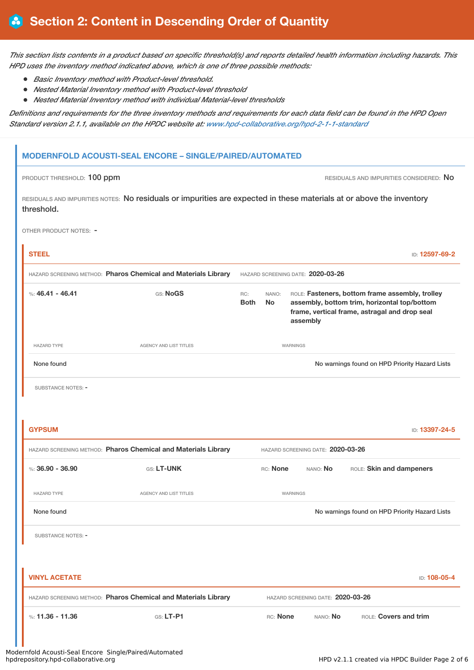This section lists contents in a product based on specific threshold(s) and reports detailed health information including hazards. This *HPD uses the inventory method indicated above, which is one of three possible methods:*

- *Basic Inventory method with Product-level threshold.*
- *Nested Material Inventory method with Product-level threshold*
- *Nested Material Inventory method with individual Material-level thresholds*

Definitions and requirements for the three inventory methods and requirements for each data field can be found in the HPD Open *Standard version 2.1.1, available on the HPDC website at: [www.hpd-collaborative.org/hpd-2-1-1-standard](https://www.hpd-collaborative.org/hpd-2-1-1-standard)*

## **MODERNFOLD ACOUSTI-SEAL ENCORE – SINGLE/PAIRED/AUTOMATED**

PRODUCT THRESHOLD: 100 ppm

RESIDUALS AND IMPURITIES NOTES: No residuals or impurities are expected in these materials at or above the inventory threshold.

OTHER PRODUCT NOTES: -

| <b>STEEL</b>         |                                                                |                    |                    |                 |                                   | ID: 12597-69-2                                                                                                                                   |
|----------------------|----------------------------------------------------------------|--------------------|--------------------|-----------------|-----------------------------------|--------------------------------------------------------------------------------------------------------------------------------------------------|
|                      | HAZARD SCREENING METHOD: Pharos Chemical and Materials Library |                    |                    |                 | HAZARD SCREENING DATE: 2020-03-26 |                                                                                                                                                  |
| %: 46.41 - 46.41     | GS: NoGS                                                       | RC:<br><b>Both</b> | NANO:<br><b>No</b> | assembly        |                                   | ROLE: Fasteners, bottom frame assembly, trolley<br>assembly, bottom trim, horizontal top/bottom<br>frame, vertical frame, astragal and drop seal |
| <b>HAZARD TYPE</b>   | <b>AGENCY AND LIST TITLES</b>                                  |                    |                    | WARNINGS        |                                   |                                                                                                                                                  |
| None found           |                                                                |                    |                    |                 |                                   | No warnings found on HPD Priority Hazard Lists                                                                                                   |
| SUBSTANCE NOTES: -   |                                                                |                    |                    |                 |                                   |                                                                                                                                                  |
|                      |                                                                |                    |                    |                 |                                   |                                                                                                                                                  |
| <b>GYPSUM</b>        |                                                                |                    |                    |                 |                                   | ID: 13397-24-5                                                                                                                                   |
|                      | HAZARD SCREENING METHOD: Pharos Chemical and Materials Library |                    |                    |                 | HAZARD SCREENING DATE: 2020-03-26 |                                                                                                                                                  |
| %: $36.90 - 36.90$   | GS: LT-UNK                                                     |                    | RC: None           |                 | NANO: No                          | ROLE: Skin and dampeners                                                                                                                         |
| <b>HAZARD TYPE</b>   | <b>AGENCY AND LIST TITLES</b>                                  |                    |                    | <b>WARNINGS</b> |                                   |                                                                                                                                                  |
| None found           |                                                                |                    |                    |                 |                                   | No warnings found on HPD Priority Hazard Lists                                                                                                   |
| SUBSTANCE NOTES: -   |                                                                |                    |                    |                 |                                   |                                                                                                                                                  |
|                      |                                                                |                    |                    |                 |                                   |                                                                                                                                                  |
| <b>VINYL ACETATE</b> |                                                                |                    |                    |                 |                                   | ID: 108-05-4                                                                                                                                     |
|                      | HAZARD SCREENING METHOD: Pharos Chemical and Materials Library |                    |                    |                 | HAZARD SCREENING DATE: 2020-03-26 |                                                                                                                                                  |
| %: $11.36 - 11.36$   | GS: LT-P1                                                      |                    | RC: None           |                 | NANO: No                          | ROLE: Covers and trim                                                                                                                            |
|                      |                                                                |                    |                    |                 |                                   |                                                                                                                                                  |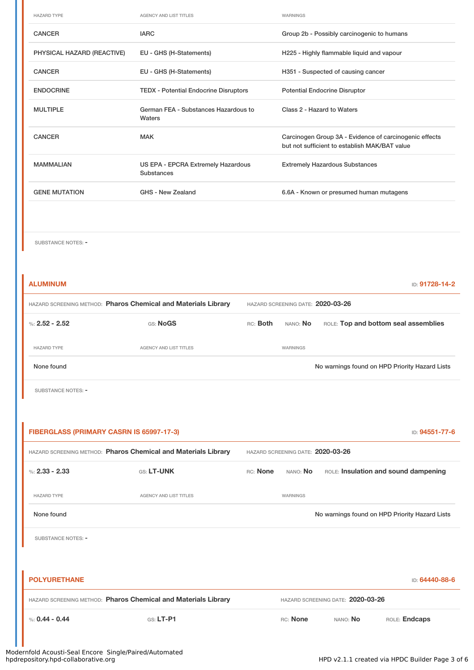| <b>HAZARD TYPE</b>         | <b>AGENCY AND LIST TITLES</b>                    | WARNINGS                                                                                                |
|----------------------------|--------------------------------------------------|---------------------------------------------------------------------------------------------------------|
| <b>CANCER</b>              | <b>IARC</b>                                      | Group 2b - Possibly carcinogenic to humans                                                              |
| PHYSICAL HAZARD (REACTIVE) | EU - GHS (H-Statements)                          | H225 - Highly flammable liquid and vapour                                                               |
| <b>CANCER</b>              | EU - GHS (H-Statements)                          | H351 - Suspected of causing cancer                                                                      |
| <b>ENDOCRINE</b>           | <b>TEDX - Potential Endocrine Disruptors</b>     | <b>Potential Endocrine Disruptor</b>                                                                    |
| <b>MULTIPLE</b>            | German FEA - Substances Hazardous to<br>Waters   | Class 2 - Hazard to Waters                                                                              |
| <b>CANCER</b>              | MAK                                              | Carcinogen Group 3A - Evidence of carcinogenic effects<br>but not sufficient to establish MAK/BAT value |
| <b>MAMMALIAN</b>           | US EPA - EPCRA Extremely Hazardous<br>Substances | <b>Extremely Hazardous Substances</b>                                                                   |
| <b>GENE MUTATION</b>       | GHS - New Zealand                                | 6.6A - Known or presumed human mutagens                                                                 |
|                            |                                                  |                                                                                                         |

SUBSTANCE NOTES: -

| <b>ALUMINUM</b>                                                |                               |                                   |                                   |                                                | ID: 91728-14-2 |  |
|----------------------------------------------------------------|-------------------------------|-----------------------------------|-----------------------------------|------------------------------------------------|----------------|--|
| HAZARD SCREENING METHOD: Pharos Chemical and Materials Library |                               | HAZARD SCREENING DATE: 2020-03-26 |                                   |                                                |                |  |
| %: $2.52 - 2.52$                                               | GS: NoGS                      | RC: Both                          | NANO: No                          | ROLE: Top and bottom seal assemblies           |                |  |
| <b>HAZARD TYPE</b>                                             | AGENCY AND LIST TITLES        |                                   | WARNINGS                          |                                                |                |  |
| None found                                                     |                               |                                   |                                   | No warnings found on HPD Priority Hazard Lists |                |  |
| SUBSTANCE NOTES: -                                             |                               |                                   |                                   |                                                |                |  |
|                                                                |                               |                                   |                                   |                                                |                |  |
| FIBERGLASS (PRIMARY CASRN IS 65997-17-3)                       |                               |                                   |                                   |                                                | ID: 94551-77-6 |  |
| HAZARD SCREENING METHOD: Pharos Chemical and Materials Library |                               |                                   |                                   | HAZARD SCREENING DATE: 2020-03-26              |                |  |
| %: $2.33 - 2.33$                                               | GS: LT-UNK                    | RC: None                          | NANO: No                          | ROLE: Insulation and sound dampening           |                |  |
| <b>HAZARD TYPE</b>                                             | <b>AGENCY AND LIST TITLES</b> |                                   | WARNINGS                          |                                                |                |  |
| None found                                                     |                               |                                   |                                   | No warnings found on HPD Priority Hazard Lists |                |  |
| SUBSTANCE NOTES: -                                             |                               |                                   |                                   |                                                |                |  |
|                                                                |                               |                                   |                                   |                                                |                |  |
| <b>POLYURETHANE</b>                                            |                               |                                   |                                   |                                                | ID: 64440-88-6 |  |
| HAZARD SCREENING METHOD: Pharos Chemical and Materials Library |                               |                                   | HAZARD SCREENING DATE: 2020-03-26 |                                                |                |  |
| %: $0.44 - 0.44$                                               | $GS: LT-P1$                   |                                   | RC: None                          | ROLE: Endcaps<br>NANO: No                      |                |  |
|                                                                |                               |                                   |                                   |                                                |                |  |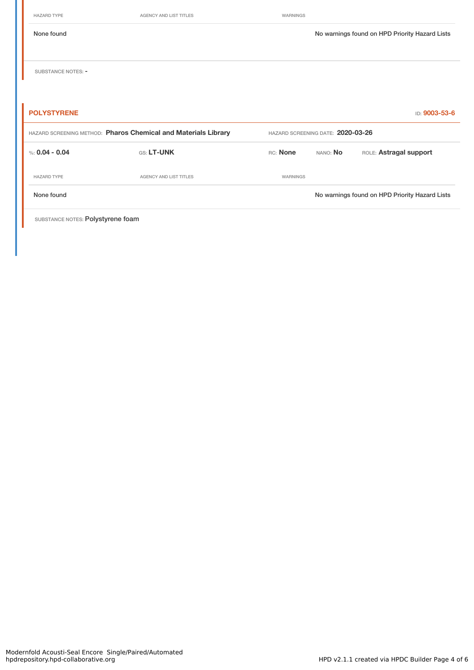|  | HAZARD TYPE |  |  |
|--|-------------|--|--|
|  |             |  |  |

AGENCY AND LIST TITLES WARNINGS

None found Nowarnings found on HPD Priority Hazard Lists SUBSTANCE NOTES: -**POLYSTYRENE** ID: **9003-53-6** HAZARD SCREENING METHOD: **Pharos Chemical and Materials Library** HAZARD SCREENING DATE: **2020-03-26** %: **0.04 - 0.04 CS: LT-UNK CG: LOGICAL RC: None** NANO: No ROLE: Astragal support HAZARD TYPE **AGENCY AND LIST TITLES** WARNINGS

None found No warnings found on HPD Priority Hazard Lists

SUBSTANCE NOTES: Polystyrene foam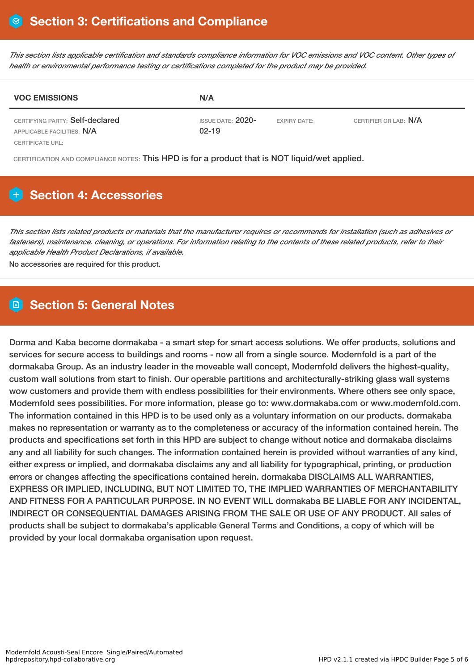This section lists applicable certification and standards compliance information for VOC emissions and VOC content. Other types of *health or environmental performance testing or certifications completed for the product may be provided.*

| <b>VOC EMISSIONS</b>                                          | N/A                              |                     |                       |  |  |  |  |
|---------------------------------------------------------------|----------------------------------|---------------------|-----------------------|--|--|--|--|
| CERTIFYING PARTY: Self-declared<br>APPLICABLE FACILITIES: N/A | ISSUE DATE: $2020-$<br>$02 - 19$ | <b>EXPIRY DATE:</b> | CERTIFIER OR LAB: N/A |  |  |  |  |
| CERTIFICATE URL:                                              |                                  |                     |                       |  |  |  |  |

CERTIFICATION AND COMPLIANCE NOTES: This HPD is for a product that is NOT liquid/wet applied.

# **Section 4: Accessories**

This section lists related products or materials that the manufacturer requires or recommends for installation (such as adhesives or fasteners), maintenance, cleaning, or operations. For information relating to the contents of these related products, refer to their *applicable Health Product Declarations, if available.*

No accessories are required for this product.

# **Section 5: General Notes**

Dorma and Kaba become dormakaba - a smart step for smart access solutions. We offer products, solutions and services for secure access to buildings and rooms - now all from a single source. Modernfold is a part of the dormakaba Group. As an industry leader in the moveable wall concept, Modernfold delivers the highest-quality, custom wall solutions from start to finish. Our operable partitions and architecturally-striking glass wall systems wow customers and provide them with endless possibilities for their environments. Where others see only space, Modernfold sees possibilities. For more information, please go to: www.dormakaba.com or www.modernfold.com. The information contained in this HPD is to be used only as a voluntary information on our products. dormakaba makes no representation or warranty as to the completeness or accuracy of the information contained herein. The products and specifications set forth in this HPD are subject to change without notice and dormakaba disclaims any and all liability for such changes. The information contained herein is provided without warranties of any kind, either express or implied, and dormakaba disclaims any and all liability for typographical, printing, or production errors or changes affecting the specifications contained herein. dormakaba DISCLAIMS ALL WARRANTIES, EXPRESS OR IMPLIED, INCLUDING, BUT NOT LIMITED TO, THE IMPLIED WARRANTIES OF MERCHANTABILITY AND FITNESS FOR A PARTICULAR PURPOSE. IN NO EVENT WILL dormakaba BE LIABLE FOR ANY INCIDENTAL, INDIRECT OR CONSEQUENTIAL DAMAGES ARISING FROM THE SALE OR USE OF ANY PRODUCT. All sales of products shall be subject to dormakaba's applicable General Terms and Conditions, a copy of which will be provided by your local dormakaba organisation upon request.